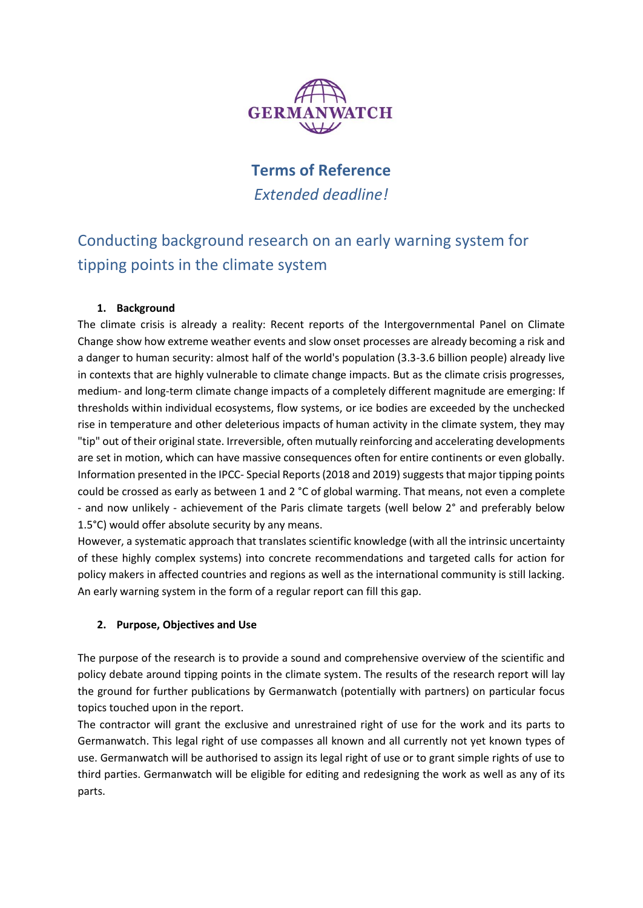

# **Terms of Reference** *Extended deadline!*

# Conducting background research on an early warning system for tipping points in the climate system

## **1. Background**

The climate crisis is already a reality: Recent reports of the Intergovernmental Panel on Climate Change show how extreme weather events and slow onset processes are already becoming a risk and a danger to human security: almost half of the world's population (3.3-3.6 billion people) already live in contexts that are highly vulnerable to climate change impacts. But as the climate crisis progresses, medium- and long-term climate change impacts of a completely different magnitude are emerging: If thresholds within individual ecosystems, flow systems, or ice bodies are exceeded by the unchecked rise in temperature and other deleterious impacts of human activity in the climate system, they may "tip" out of their original state. Irreversible, often mutually reinforcing and accelerating developments are set in motion, which can have massive consequences often for entire continents or even globally. Information presented in the IPCC- Special Reports (2018 and 2019) suggests that major tipping points could be crossed as early as between 1 and 2 °C of global warming. That means, not even a complete - and now unlikely - achievement of the Paris climate targets (well below 2° and preferably below 1.5°C) would offer absolute security by any means.

However, a systematic approach that translates scientific knowledge (with all the intrinsic uncertainty of these highly complex systems) into concrete recommendations and targeted calls for action for policy makers in affected countries and regions as well as the international community is still lacking. An early warning system in the form of a regular report can fill this gap.

#### **2. Purpose, Objectives and Use**

The purpose of the research is to provide a sound and comprehensive overview of the scientific and policy debate around tipping points in the climate system. The results of the research report will lay the ground for further publications by Germanwatch (potentially with partners) on particular focus topics touched upon in the report.

The contractor will grant the exclusive and unrestrained right of use for the work and its parts to Germanwatch. This legal right of use compasses all known and all currently not yet known types of use. Germanwatch will be authorised to assign its legal right of use or to grant simple rights of use to third parties. Germanwatch will be eligible for editing and redesigning the work as well as any of its parts.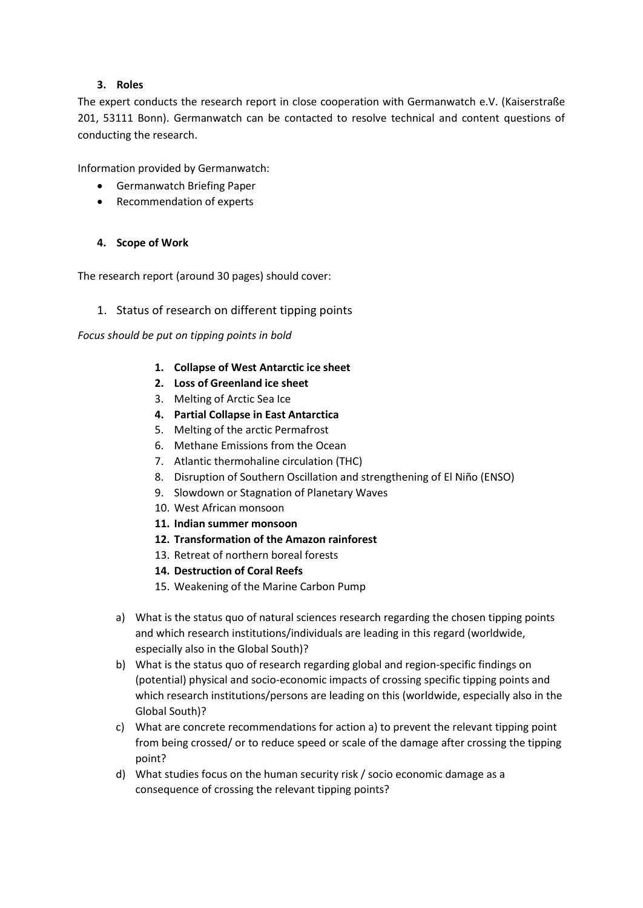#### **3. Roles**

The expert conducts the research report in close cooperation with Germanwatch e.V. (Kaiserstraße 201, 53111 Bonn). Germanwatch can be contacted to resolve technical and content questions of conducting the research.

Information provided by Germanwatch:

- Germanwatch Briefing Paper
- Recommendation of experts

## **4. Scope of Work**

The research report (around 30 pages) should cover:

## 1. Status of research on different tipping points

*Focus should be put on tipping points in bold*

- **1. Collapse of West Antarctic ice sheet**
- **2. Loss of Greenland ice sheet**
- 3. Melting of Arctic Sea Ice
- **4. Partial Collapse in East Antarctica**
- 5. Melting of the arctic Permafrost
- 6. Methane Emissions from the Ocean
- 7. Atlantic thermohaline circulation (THC)
- 8. Disruption of Southern Oscillation and strengthening of El Niño (ENSO)
- 9. Slowdown or Stagnation of Planetary Waves
- 10. West African monsoon
- **11. Indian summer monsoon**
- **12. Transformation of the Amazon rainforest**
- 13. Retreat of northern boreal forests
- **14. Destruction of Coral Reefs**
- 15. Weakening of the Marine Carbon Pump
- a) What is the status quo of natural sciences research regarding the chosen tipping points and which research institutions/individuals are leading in this regard (worldwide, especially also in the Global South)?
- b) What is the status quo of research regarding global and region-specific findings on (potential) physical and socio-economic impacts of crossing specific tipping points and which research institutions/persons are leading on this (worldwide, especially also in the Global South)?
- c) What are concrete recommendations for action a) to prevent the relevant tipping point from being crossed/ or to reduce speed or scale of the damage after crossing the tipping point?
- d) What studies focus on the human security risk / socio economic damage as a consequence of crossing the relevant tipping points?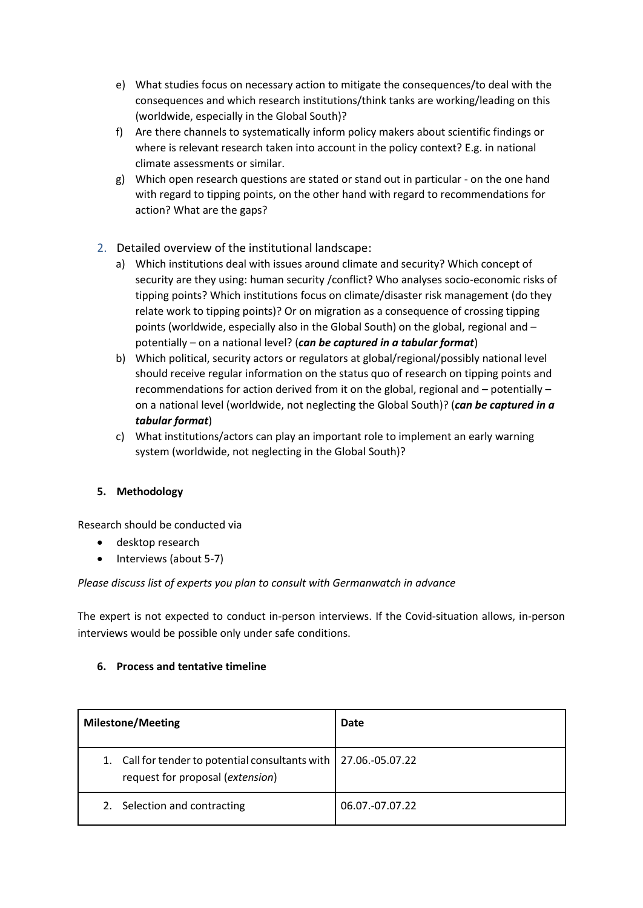- e) What studies focus on necessary action to mitigate the consequences/to deal with the consequences and which research institutions/think tanks are working/leading on this (worldwide, especially in the Global South)?
- f) Are there channels to systematically inform policy makers about scientific findings or where is relevant research taken into account in the policy context? E.g. in national climate assessments or similar.
- g) Which open research questions are stated or stand out in particular on the one hand with regard to tipping points, on the other hand with regard to recommendations for action? What are the gaps?
- 2. Detailed overview of the institutional landscape:
	- a) Which institutions deal with issues around climate and security? Which concept of security are they using: human security /conflict? Who analyses socio-economic risks of tipping points? Which institutions focus on climate/disaster risk management (do they relate work to tipping points)? Or on migration as a consequence of crossing tipping points (worldwide, especially also in the Global South) on the global, regional and – potentially – on a national level? (*can be captured in a tabular format*)
	- b) Which political, security actors or regulators at global/regional/possibly national level should receive regular information on the status quo of research on tipping points and recommendations for action derived from it on the global, regional and – potentially – on a national level (worldwide, not neglecting the Global South)? (*can be captured in a tabular format*)
	- c) What institutions/actors can play an important role to implement an early warning system (worldwide, not neglecting in the Global South)?

# **5. Methodology**

Research should be conducted via

- desktop research
- Interviews (about 5-7)

#### *Please discuss list of experts you plan to consult with Germanwatch in advance*

The expert is not expected to conduct in-person interviews. If the Covid-situation allows, in-person interviews would be possible only under safe conditions.

#### **6. Process and tentative timeline**

| <b>Milestone/Meeting</b>                                                                               | Date            |
|--------------------------------------------------------------------------------------------------------|-----------------|
| 1. Call for tender to potential consultants with   27.06.-05.07.22<br>request for proposal (extension) |                 |
| 2. Selection and contracting                                                                           | 06.07.-07.07.22 |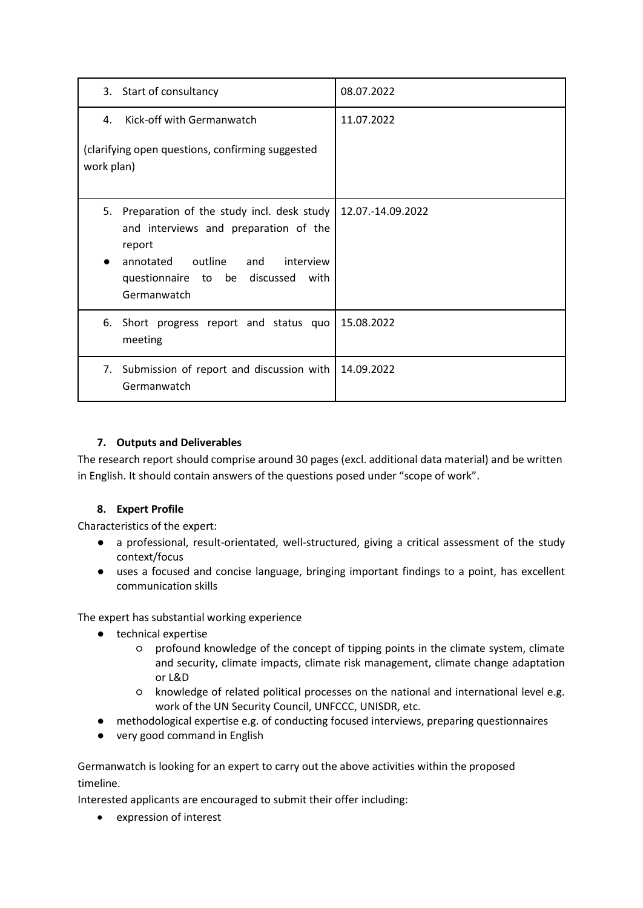| 3. Start of consultancy                                                                                                                                                                    | 08.07.2022        |
|--------------------------------------------------------------------------------------------------------------------------------------------------------------------------------------------|-------------------|
| Kick-off with Germanwatch<br>4.                                                                                                                                                            | 11.07.2022        |
| (clarifying open questions, confirming suggested<br>work plan)                                                                                                                             |                   |
| 5.<br>Preparation of the study incl. desk study<br>and interviews and preparation of the<br>report<br>annotated outline and interview<br>questionnaire to be discussed with<br>Germanwatch | 12.07.-14.09.2022 |
| 6.<br>Short progress report and status quo<br>meeting                                                                                                                                      | 15.08.2022        |
| Submission of report and discussion with<br>7.<br>Germanwatch                                                                                                                              | 14.09.2022        |

# **7. Outputs and Deliverables**

The research report should comprise around 30 pages (excl. additional data material) and be written in English. It should contain answers of the questions posed under "scope of work".

#### **8. Expert Profile**

Characteristics of the expert:

- a professional, result-orientated, well-structured, giving a critical assessment of the study context/focus
- uses a focused and concise language, bringing important findings to a point, has excellent communication skills

The expert has substantial working experience

- technical expertise
	- profound knowledge of the concept of tipping points in the climate system, climate and security, climate impacts, climate risk management, climate change adaptation or L&D
	- knowledge of related political processes on the national and international level e.g. work of the UN Security Council, UNFCCC, UNISDR, etc.
- methodological expertise e.g. of conducting focused interviews, preparing questionnaires
- very good command in English

Germanwatch is looking for an expert to carry out the above activities within the proposed timeline.

Interested applicants are encouraged to submit their offer including:

expression of interest